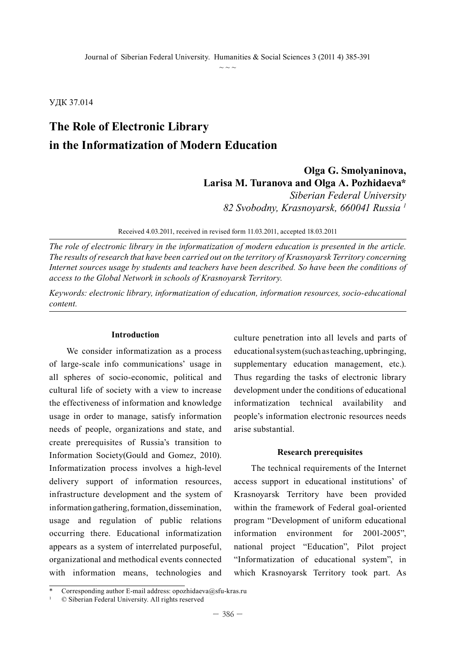УДК 37.014

# **The Role of Electronic Library in the Informatization of Modern Education**

# **Olga G. Smolyaninova, Larisa M. Turanova and Olga A. Pozhidaeva\***

*Siberian Federal University 82 Svobodny, Krasnoyarsk, 660041 Russia 1*

Received 4.03.2011, received in revised form 11.03.2011, accepted 18.03.2011

*The role of electronic library in the informatization of modern education is presented in the article. The results of research that have been carried out on the territory of Krasnoyarsk Territory concerning Internet sources usage by students and teachers have been described. So have been the conditions of access to the Global Network in schools of Krasnoyarsk Territory.* 

*Keywords: electronic library, informatization of education, information resources, socio-educational content.*

#### **Introduction**

We consider informatization as a process of large-scale info communications' usage in all spheres of socio-economic, political and cultural life of society with a view to increase the effectiveness of information and knowledge usage in order to manage, satisfy information needs of people, organizations and state, and create prerequisites of Russia's transition to Information Society(Gould and Gomez, 2010). Informatization process involves a high-level delivery support of information resources, infrastructure development and the system of information gathering, formation, dissemination, usage and regulation of public relations occurring there. Educational informatization appears as a system of interrelated purposeful, organizational and methodical events connected with information means, technologies and

culture penetration into all levels and parts of educational system (such as teaching, upbringing, supplementary education management, etc.). Thus regarding the tasks of electronic library development under the conditions of educational informatization technical availability and people's information electronic resources needs arise substantial.

#### **Research prerequisites**

The technical requirements of the Internet access support in educational institutions' of Krasnoyarsk Territory have been provided within the framework of Federal goal-oriented program "Development of uniform educational information environment for 2001-2005", national project "Education", Pilot project "Informatization of educational system", in which Krasnoyarsk Territory took part. As

Corresponding author E-mail address: opozhidaeva@sfu-kras.ru

<sup>1</sup> © Siberian Federal University. All rights reserved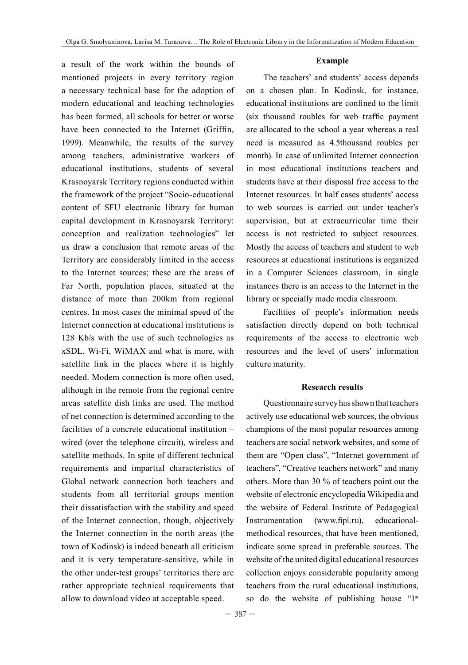#### **Example**

a result of the work within the bounds of mentioned projects in every territory region a necessary technical base for the adoption of modern educational and teaching technologies has been formed, all schools for better or worse have been connected to the Internet (Griffin, 1999). Meanwhile, the results of the survey among teachers, administrative workers of educational institutions, students of several Krasnoyarsk Territory regions conducted within the framework of the project "Socio-educational content of SFU electronic library for human capital development in Krasnoyarsk Territory: conception and realization technologies" let us draw a conclusion that remote areas of the Territory are considerably limited in the access to the Internet sources; these are the areas of Far North, population places, situated at the distance of more than 200km from regional centres. In most cases the minimal speed of the Internet connection at educational institutions is 128 Kb/s with the use of such technologies as xSDL, Wi-Fi, WiMAX and what is more, with satellite link in the places where it is highly needed. Modem connection is more often used, although in the remote from the regional centre areas satellite dish links are used. The method of net connection is determined according to the facilities of a concrete educational institution – wired (over the telephone circuit), wireless and satellite methods. In spite of different technical requirements and impartial characteristics of Global network connection both teachers and students from all territorial groups mention their dissatisfaction with the stability and speed of the Internet connection, though, objectively the Internet connection in the north areas (the town of Kodinsk) is indeed beneath all criticism and it is very temperature-sensitive, while in the other under-test groups' territories there are rather appropriate technical requirements that allow to download video at acceptable speed.

The teachers' and students' access depends on a chosen plan. In Kodinsk, for instance, educational institutions are confined to the limit (six thousand roubles for web traffic payment are allocated to the school a year whereas a real need is measured as 4.5thousand roubles per month). In case of unlimited Internet connection in most educational institutions teachers and students have at their disposal free access to the Internet resources. In half cases students' access to web sources is carried out under teacher's supervision, but at extracurricular time their access is not restricted to subject resources. Mostly the access of teachers and student to web resources at educational institutions is organized in a Computer Sciences classroom, in single instances there is an access to the Internet in the library or specially made media classroom.

Facilities of people's information needs satisfaction directly depend on both technical requirements of the access to electronic web resources and the level of users' information culture maturity.

#### **Research results**

Questionnaire survey has shown that teachers actively use educational web sources, the obvious champions of the most popular resources among teachers are social network websites, and some of them are "Open class", "Internet government of teachers", "Creative teachers network" and many others. More than 30 % of teachers point out the website of electronic encyclopedia Wikipedia and the website of Federal Institute of Pedagogical Instrumentation (www.fipi.ru), educationalmethodical resources, that have been mentioned, indicate some spread in preferable sources. The website of the united digital educational resources collection enjoys considerable popularity among teachers from the rural educational institutions, so do the website of publishing house "1st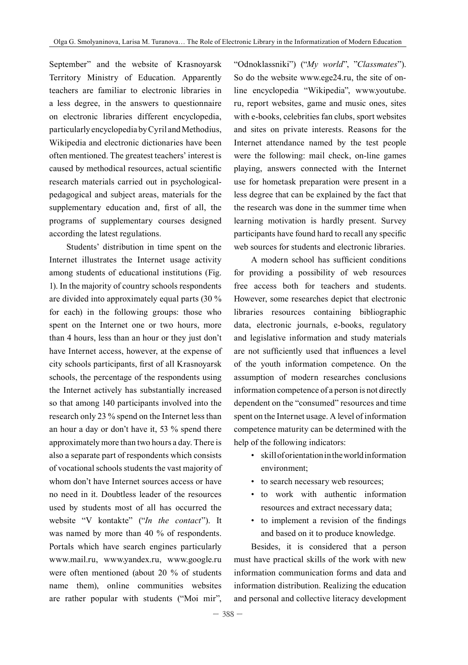September" and the website of Krasnoyarsk Territory Ministry of Education. Apparently teachers are familiar to electronic libraries in a less degree, in the answers to questionnaire on electronic libraries different encyclopedia, particularly encyclopedia by Cyril and Methodius, Wikipedia and electronic dictionaries have been often mentioned. The greatest teachers' interest is caused by methodical resources, actual scientific research materials carried out in psychologicalpedagogical and subject areas, materials for the supplementary education and, first of all, the programs of supplementary courses designed according the latest regulations.

Students' distribution in time spent on the Internet illustrates the Internet usage activity among students of educational institutions (Fig. 1). In the majority of country schools respondents are divided into approximately equal parts (30 % for each) in the following groups: those who spent on the Internet one or two hours, more than 4 hours, less than an hour or they just don't have Internet access, however, at the expense of city schools participants, first of all Krasnoyarsk schools, the percentage of the respondents using the Internet actively has substantially increased so that among 140 participants involved into the research only 23 % spend on the Internet less than an hour a day or don't have it, 53 % spend there approximately more than two hours a day. There is also a separate part of respondents which consists of vocational schools students the vast majority of whom don't have Internet sources access or have no need in it. Doubtless leader of the resources used by students most of all has occurred the website "V kontakte" ("*In the contact*"). It was named by more than 40 % of respondents. Portals which have search engines particularly www.mail.ru, www.yandex.ru, www.google.ru were often mentioned (about 20 % of students name them), online communities websites are rather popular with students ("Moi mir",

"Odnoklassniki") ("*My world*", "*Classmates*"). So do the website www.ege24.ru, the site of online encyclopedia "Wikipedia", www.youtube. ru, report websites, game and music ones, sites with e-books, celebrities fan clubs, sport websites and sites on private interests. Reasons for the Internet attendance named by the test people were the following: mail check, on-line games playing, answers connected with the Internet use for hometask preparation were present in a less degree that can be explained by the fact that the research was done in the summer time when learning motivation is hardly present. Survey participants have found hard to recall any specific web sources for students and electronic libraries.

A modern school has sufficient conditions for providing a possibility of web resources free access both for teachers and students. However, some researches depict that electronic libraries resources containing bibliographic data, electronic journals, e-books, regulatory and legislative information and study materials are not sufficiently used that influences a level of the youth information competence. On the assumption of modern researches conclusions information competence of a person is not directly dependent on the "consumed" resources and time spent on the Internet usage. A level of information competence maturity can be determined with the help of the following indicators:

- skill of orientation in the world information environment;
- to search necessary web resources;
- to work with authentic information resources and extract necessary data;
- to implement a revision of the findings and based on it to produce knowledge.

Besides, it is considered that a person must have practical skills of the work with new information communication forms and data and information distribution. Realizing the education and personal and collective literacy development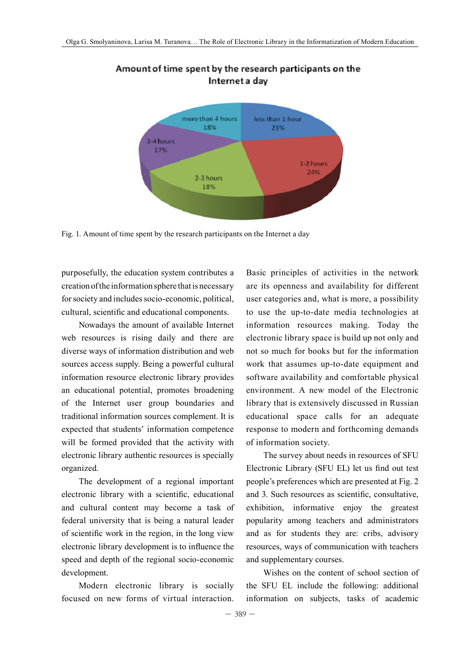

# Amount of time spent by the research participants on the Internet a day

Fig. 1. Amount of time spent by the research participants on the Internet a day

purposefully, the education system contributes a creation of the information sphere that is necessary for society and includes socio-economic, political, cultural, scientific and educational components.

Nowadays the amount of available Internet web resources is rising daily and there are diverse ways of information distribution and web sources access supply. Being a powerful cultural information resource electronic library provides an educational potential, promotes broadening of the Internet user group boundaries and traditional information sources complement. It is expected that students' information competence will be formed provided that the activity with electronic library authentic resources is specially organized.

The development of a regional important electronic library with a scientific, educational and cultural content may become a task of federal university that is being a natural leader of scientific work in the region, in the long view electronic library development is to influence the speed and depth of the regional socio-economic development.

Modern electronic library is socially focused on new forms of virtual interaction.

Basic principles of activities in the network are its openness and availability for different user categories and, what is more, a possibility to use the up-to-date media technologies at information resources making. Today the electronic library space is build up not only and not so much for books but for the information work that assumes up-to-date equipment and software availability and comfortable physical environment. A new model of the Electronic library that is extensively discussed in Russian educational space calls for an adequate response to modern and forthcoming demands of information society.

The survey about needs in resources of SFU Electronic Library (SFU EL) let us find out test people's preferences which are presented at Fig. 2 and 3. Such resources as scientific, consultative, exhibition, informative enjoy the greatest popularity among teachers and administrators and as for students they are: cribs, advisory resources, ways of communication with teachers and supplementary courses.

Wishes on the content of school section of the SFU EL include the following: additional information on subjects, tasks of academic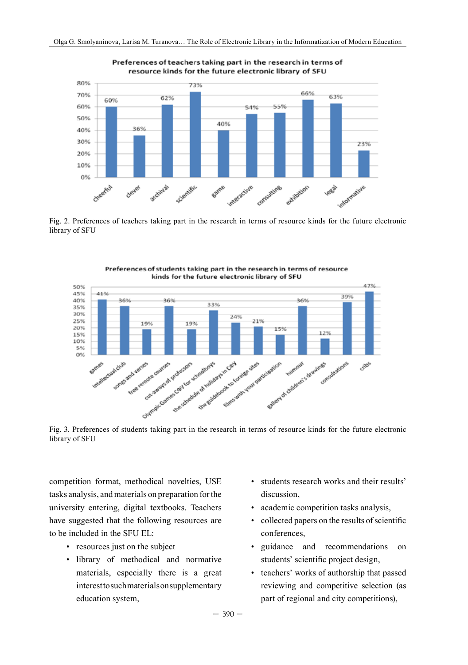

Preferences of teachers taking part in the research in terms of resource kinds for the future electronic library of SFU

Fig. 2. Preferences of teachers taking part in the research in terms of resource kinds for the future electronic library of SFU



Preferences of students taking part in the research in terms of resource kinds for the future electronic library of SFU

Fig. 3. Preferences of students taking part in the research in terms of resource kinds for the future electronic library of SFU

competition format, methodical novelties, USE tasks analysis, and materials on preparation for the university entering, digital textbooks. Teachers have suggested that the following resources are to be included in the SFU EL:

- resources just on the subject
- library of methodical and normative materials, especially there is a great interest to such materials on supplementary education system,
- students research works and their results' discussion,
- academic competition tasks analysis,
- collected papers on the results of scientific conferences,
- guidance and recommendations on students' scientific project design,
- teachers' works of authorship that passed reviewing and competitive selection (as part of regional and city competitions),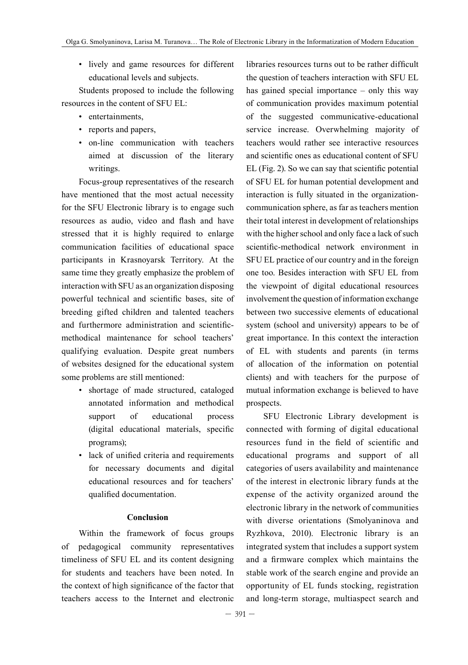• lively and game resources for different educational levels and subjects.

Students proposed to include the following resources in the content of SFU EL:

- entertainments
- reports and papers,
- on-line communication with teachers aimed at discussion of the literary writings.

Focus-group representatives of the research have mentioned that the most actual necessity for the SFU Electronic library is to engage such resources as audio, video and flash and have stressed that it is highly required to enlarge communication facilities of educational space participants in Krasnoyarsk Territory. At the same time they greatly emphasize the problem of interaction with SFU as an organization disposing powerful technical and scientific bases, site of breeding gifted children and talented teachers and furthermore administration and scientificmethodical maintenance for school teachers' qualifying evaluation. Despite great numbers of websites designed for the educational system some problems are still mentioned:

- shortage of made structured, cataloged annotated information and methodical support of educational process (digital educational materials, specific programs);
- lack of unified criteria and requirements for necessary documents and digital educational resources and for teachers' qualified documentation.

## **Conclusion**

Within the framework of focus groups of pedagogical community representatives timeliness of SFU EL and its content designing for students and teachers have been noted. In the context of high significance of the factor that teachers access to the Internet and electronic

libraries resources turns out to be rather difficult the question of teachers interaction with SFU EL has gained special importance – only this way of communication provides maximum potential of the suggested communicative-educational service increase. Overwhelming majority of teachers would rather see interactive resources and scientific ones as educational content of SFU EL (Fig. 2). So we can say that scientific potential of SFU EL for human potential development and interaction is fully situated in the organizationcommunication sphere, as far as teachers mention their total interest in development of relationships with the higher school and only face a lack of such scientific-methodical network environment in SFU EL practice of our country and in the foreign one too. Besides interaction with SFU EL from the viewpoint of digital educational resources involvement the question of information exchange between two successive elements of educational system (school and university) appears to be of great importance. In this context the interaction of EL with students and parents (in terms of allocation of the information on potential clients) and with teachers for the purpose of mutual information exchange is believed to have prospects.

SFU Electronic Library development is connected with forming of digital educational resources fund in the field of scientific and educational programs and support of all categories of users availability and maintenance of the interest in electronic library funds at the expense of the activity organized around the electronic library in the network of communities with diverse orientations (Smolyaninova and Ryzhkova, 2010). Electronic library is an integrated system that includes a support system and a firmware complex which maintains the stable work of the search engine and provide an opportunity of EL funds stocking, registration and long-term storage, multiaspect search and